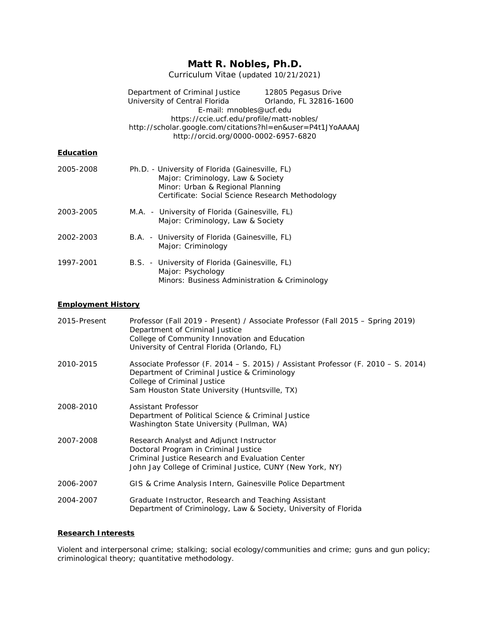# **Matt R. Nobles, Ph.D.**

Curriculum Vitae (updated 10/21/2021)

|                  | Department of Criminal Justice 12805 Pegasus Drive<br>University of Central Florida<br>E-mail: mnobles@ucf.edu<br>https://ccie.ucf.edu/profile/matt-nobles/<br>http://scholar.google.com/citations?hl=en&user=P4t1JYoAAAAJ<br>http://orcid.org/0000-0002-6957-6820 | Orlando, FL 32816-1600 |
|------------------|--------------------------------------------------------------------------------------------------------------------------------------------------------------------------------------------------------------------------------------------------------------------|------------------------|
| <b>Education</b> |                                                                                                                                                                                                                                                                    |                        |
| 2005-2008        | Ph.D. - University of Florida (Gainesville, FL)<br>Major: Criminology, Law & Society<br>Minor: Urban & Regional Planning<br>Certificate: Social Science Research Methodology                                                                                       |                        |
| 2003-2005        | M.A. - University of Florida (Gainesville, FL)<br>Major: Criminology, Law & Society                                                                                                                                                                                |                        |
| 2002-2003        | B.A. - University of Florida (Gainesville, FL)<br>Major: Criminology                                                                                                                                                                                               |                        |
| 1997-2001        | B.S. - University of Florida (Gainesville, FL)<br>Major: Psychology<br>Minors: Business Administration & Criminology                                                                                                                                               |                        |

# **Employment History**

| 2015-Present | Professor (Fall 2019 - Present) / Associate Professor (Fall 2015 - Spring 2019)<br>Department of Criminal Justice<br>College of Community Innovation and Education<br>University of Central Florida (Orlando, FL) |
|--------------|-------------------------------------------------------------------------------------------------------------------------------------------------------------------------------------------------------------------|
| 2010-2015    | Associate Professor (F. 2014 – S. 2015) / Assistant Professor (F. 2010 – S. 2014)<br>Department of Criminal Justice & Criminology<br>College of Criminal Justice<br>Sam Houston State University (Huntsville, TX) |
| 2008-2010    | Assistant Professor<br>Department of Political Science & Criminal Justice<br>Washington State University (Pullman, WA)                                                                                            |
| 2007-2008    | Research Analyst and Adjunct Instructor<br>Doctoral Program in Criminal Justice<br>Criminal Justice Research and Evaluation Center<br>John Jay College of Criminal Justice, CUNY (New York, NY)                   |
| 2006-2007    | GIS & Crime Analysis Intern, Gainesville Police Department                                                                                                                                                        |
| 2004-2007    | Graduate Instructor, Research and Teaching Assistant<br>Department of Criminology, Law & Society, University of Florida                                                                                           |

# **Research Interests**

Violent and interpersonal crime; stalking; social ecology/communities and crime; guns and gun policy; criminological theory; quantitative methodology.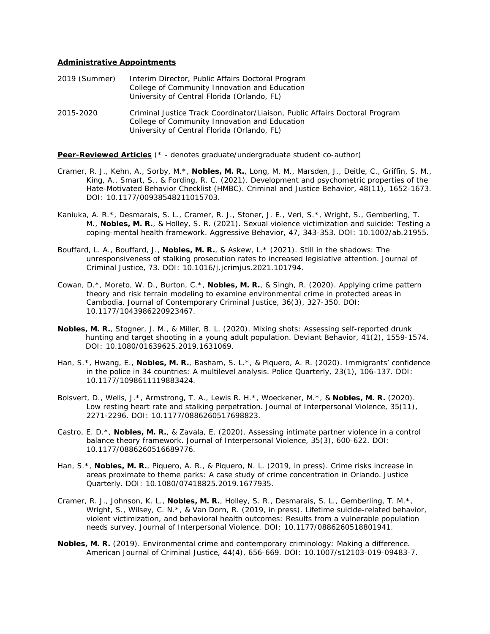# **Administrative Appointments**

| 2019 (Summer) | Interim Director, Public Affairs Doctoral Program |
|---------------|---------------------------------------------------|
|               | College of Community Innovation and Education     |
|               | University of Central Florida (Orlando, FL)       |
|               |                                                   |

2015-2020 Criminal Justice Track Coordinator/Liaison, Public Affairs Doctoral Program College of Community Innovation and Education University of Central Florida (Orlando, FL)

**Peer-Reviewed Articles** (\* - denotes graduate/undergraduate student co-author)

- Cramer, R. J., Kehn, A., Sorby, M.\*, **Nobles, M. R.**, Long, M. M., Marsden, J., Deitle, C., Griffin, S. M., King, A., Smart, S., & Fording, R. C. (2021). Development and psychometric properties of the Hate-Motivated Behavior Checklist (HMBC). *Criminal and Justice Behavior, 48*(11), 1652-1673. DOI: 10.1177/00938548211015703.
- Kaniuka, A. R.\*, Desmarais, S. L., Cramer, R. J., Stoner, J. E., Veri, S.\*, Wright, S., Gemberling, T. M., **Nobles, M. R.**, & Holley, S. R. (2021). Sexual violence victimization and suicide: Testing a coping-mental health framework. *Aggressive Behavior, 47*, 343-353. DOI: 10.1002/ab.21955.
- Bouffard, L. A., Bouffard, J., **Nobles, M. R.**, & Askew, L.\* (2021). Still in the shadows: The unresponsiveness of stalking prosecution rates to increased legislative attention. *Journal of Criminal Justice, 73*. DOI: 10.1016/j.jcrimjus.2021.101794.
- Cowan, D.\*, Moreto, W. D., Burton, C.\*, **Nobles, M. R.**, & Singh, R. (2020). Applying crime pattern theory and risk terrain modeling to examine environmental crime in protected areas in Cambodia. *Journal of Contemporary Criminal Justice, 36*(3), 327-350. DOI: 10.1177/1043986220923467.
- **Nobles, M. R.**, Stogner, J. M., & Miller, B. L. (2020). Mixing shots: Assessing self-reported drunk hunting and target shooting in a young adult population. *Deviant Behavior, 41*(2), 1559-1574. DOI: 10.1080/01639625.2019.1631069.
- Han, S.\*, Hwang, E., **Nobles, M. R.**, Basham, S. L.\*, & Piquero, A. R. (2020). Immigrants' confidence in the police in 34 countries: A multilevel analysis. *Police Quarterly, 23*(1), 106-137. DOI: 10.1177/1098611119883424.
- Boisvert, D., Wells, J.\*, Armstrong, T. A., Lewis R. H.\*, Woeckener, M.\*, & **Nobles, M. R.** (2020). Low resting heart rate and stalking perpetration. *Journal of Interpersonal Violence, 35*(11), 2271-2296. DOI: 10.1177/0886260517698823.
- Castro, E. D.\*, **Nobles, M. R.**, & Zavala, E. (2020). Assessing intimate partner violence in a control balance theory framework. *Journal of Interpersonal Violence, 35*(3), 600-622. DOI: 10.1177/0886260516689776.
- Han, S.\*, **Nobles, M. R.**, Piquero, A. R., & Piquero, N. L. (2019, in press). Crime risks increase in areas proximate to theme parks: A case study of crime concentration in Orlando. *Justice Quarterly*. DOI: 10.1080/07418825.2019.1677935.
- Cramer, R. J., Johnson, K. L., **Nobles, M. R.**, Holley, S. R., Desmarais, S. L., Gemberling, T. M.\*, Wright, S., Wilsey, C. N.\*, & Van Dorn, R. (2019, in press). Lifetime suicide-related behavior, violent victimization, and behavioral health outcomes: Results from a vulnerable population needs survey. *Journal of Interpersonal Violence*. DOI: 10.1177/0886260518801941.
- **Nobles, M. R.** (2019). Environmental crime and contemporary criminology: Making a difference. *American Journal of Criminal Justice, 44*(4), 656-669*.* DOI: 10.1007/s12103-019-09483-7.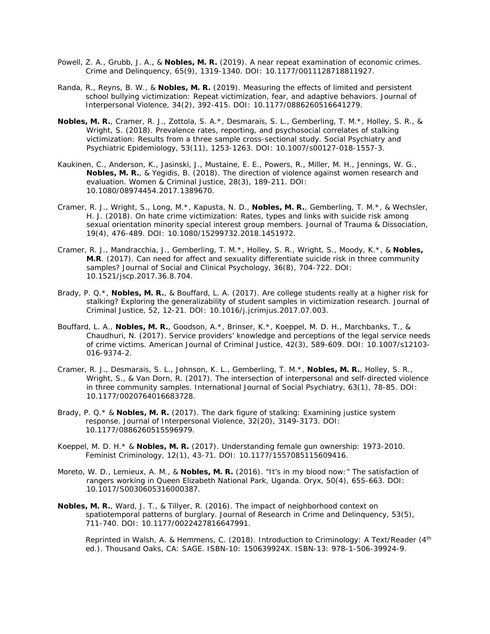- Powell, Z. A., Grubb, J. A., & **Nobles, M. R.** (2019). A near repeat examination of economic crimes. *Crime and Delinquency, 65*(9), 1319-1340. DOI: 10.1177/0011128718811927.
- Randa, R., Reyns, B. W., & **Nobles, M. R.** (2019). Measuring the effects of limited and persistent school bullying victimization: Repeat victimization, fear, and adaptive behaviors. *Journal of Interpersonal Violence, 34*(2), 392-415. DOI: 10.1177/0886260516641279.
- **Nobles, M. R.**, Cramer, R. J., Zottola, S. A.\*, Desmarais, S. L., Gemberling, T. M.\*, Holley, S. R., & Wright, S. (2018). Prevalence rates, reporting, and psychosocial correlates of stalking victimization: Results from a three sample cross-sectional study. *Social Psychiatry and Psychiatric Epidemiology, 53(*11), 1253-1263. DOI: 10.1007/s00127-018-1557-3.
- Kaukinen, C., Anderson, K., Jasinski, J., Mustaine, E. E., Powers, R., Miller, M. H., Jennings, W. G., **Nobles, M. R.**, & Yegidis, B. (2018). The direction of violence against women research and evaluation. *Women & Criminal Justice, 28*(3), 189-211. DOI: 10.1080/08974454.2017.1389670.
- Cramer, R. J., Wright, S., Long, M.\*, Kapusta, N. D., **Nobles, M. R.**, Gemberling, T. M.\*, & Wechsler, H. J. (2018). On hate crime victimization: Rates, types and links with suicide risk among sexual orientation minority special interest group members. *Journal of Trauma & Dissociation, 19*(4), 476-489. DOI: 10.1080/15299732.2018.1451972.
- Cramer, R. J., Mandracchia, J., Gemberling, T. M.\*, Holley, S. R., Wright, S., Moody, K.\*, & **Nobles, M.R**. (2017). Can need for affect and sexuality differentiate suicide risk in three community samples? *Journal of Social and Clinical Psychology, 36*(8), 704-722. DOI: 10.1521/jscp.2017.36.8.704.
- Brady, P. Q.\*, **Nobles, M. R.**, & Bouffard, L. A. (2017). Are college students *really* at a higher risk for stalking? Exploring the generalizability of student samples in victimization research. *Journal of Criminal Justice, 52*, 12-21. DOI: 10.1016/j.jcrimjus.2017.07.003.
- Bouffard, L. A., **Nobles, M. R.**, Goodson, A.\*, Brinser, K.\*, Koeppel, M. D. H., Marchbanks, T., & Chaudhuri, N. (2017). Service providers' knowledge and perceptions of the legal service needs of crime victims. *American Journal of Criminal Justice, 42*(3), 589-609. DOI: 10.1007/s12103- 016-9374-2.
- Cramer, R. J., Desmarais, S. L., Johnson, K. L., Gemberling, T. M.\*, **Nobles, M. R.**, Holley, S. R., Wright, S., & Van Dorn, R. (2017). The intersection of interpersonal and self-directed violence in three community samples. *International Journal of Social Psychiatry, 63*(1), 78-85. DOI: 10.1177/0020764016683728.
- Brady, P. Q.\* & **Nobles, M. R.** (2017). The dark figure of stalking: Examining justice system response. *Journal of Interpersonal Violence, 32*(20), 3149-3173. DOI: 10.1177/0886260515596979.
- Koeppel, M. D. H.\* & **Nobles, M. R.** (2017). Understanding female gun ownership: 1973-2010. *Feminist Criminology, 12*(1), 43-71. DOI: 10.1177/1557085115609416.
- Moreto, W. D., Lemieux, A. M., & **Nobles, M. R.** (2016). "It's in my blood now:" The satisfaction of rangers working in Queen Elizabeth National Park, Uganda. *Oryx, 50*(4), 655-663. DOI: 10.1017/S0030605316000387.
- **Nobles, M. R.**, Ward, J. T., & Tillyer, R. (2016). The impact of neighborhood context on spatiotemporal patterns of burglary. *Journal of Research in Crime and Delinquency*, 53(5), 711-740. DOI: 10.1177/0022427816647991.

 Reprinted in Walsh, A. & Hemmens, C. (2018). *Introduction to Criminology: A Text/Reader* (4th ed.). Thousand Oaks, CA: SAGE. ISBN-10: 150639924X. ISBN-13: 978-1-506-39924-9.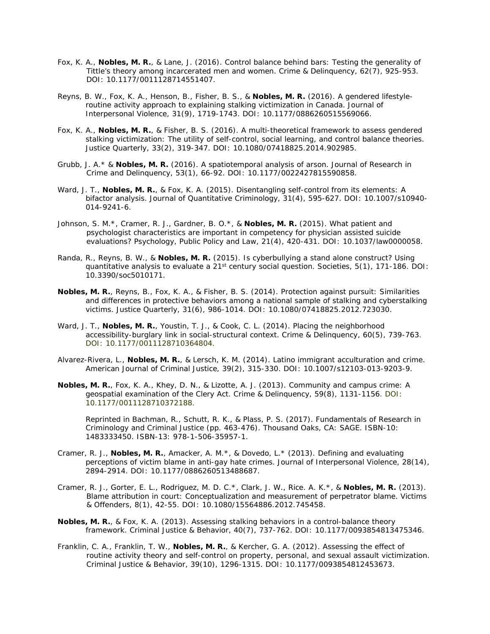- Fox, K. A., **Nobles, M. R.**, & Lane, J. (2016). Control balance behind bars: Testing the generality of Tittle's theory among incarcerated men and women. *Crime & Delinquency, 62*(7), 925-953. DOI: 10.1177/0011128714551407.
- Reyns, B. W., Fox, K. A., Henson, B., Fisher, B. S., & **Nobles, M. R.** (2016). A gendered lifestyleroutine activity approach to explaining stalking victimization in Canada. *Journal of Interpersonal Violence, 31*(9), 1719-1743. DOI: 10.1177/0886260515569066.
- Fox, K. A., **Nobles, M. R.**, & Fisher, B. S. (2016). A multi-theoretical framework to assess gendered stalking victimization: The utility of self-control, social learning, and control balance theories. *Justice Quarterly*, *33*(2), 319-347. DOI: 10.1080/07418825.2014.902985.
- Grubb, J. A.\* & **Nobles, M. R.** (2016). A spatiotemporal analysis of arson. *Journal of Research in Crime and Delinquency, 53*(1), 66-92. DOI: 10.1177/0022427815590858.
- Ward, J. T., **Nobles, M. R.**, & Fox, K. A. (2015). Disentangling self-control from its elements: A bifactor analysis. *Journal of Quantitative Criminology, 31*(4), 595-627. DOI: 10.1007/s10940- 014-9241-6.
- Johnson, S. M.\*, Cramer, R. J., Gardner, B. O.\*, & **Nobles, M. R.** (2015). What patient and psychologist characteristics are important in competency for physician assisted suicide evaluations? *Psychology, Public Policy and Law, 21*(4), 420-431. DOI: 10.1037/law0000058.
- Randa, R., Reyns, B. W., & **Nobles, M. R.** (2015). Is cyberbullying a stand alone construct? Using quantitative analysis to evaluate a 21st century social question. *Societies*, *5*(1), 171-186. DOI: 10.3390/soc5010171.
- **Nobles, M. R.**, Reyns, B., Fox, K. A., & Fisher, B. S. (2014). Protection against pursuit: Similarities and differences in protective behaviors among a national sample of stalking and cyberstalking victims. *Justice Quarterly, 31*(6), 986-1014. DOI: 10.1080/07418825.2012.723030.
- Ward, J. T., **Nobles, M. R.**, Youstin, T. J., & Cook, C. L. (2014). Placing the neighborhood accessibility-burglary link in social-structural context. *Crime & Delinquency*, 60(5), 739-763. DOI: 10.1177/0011128710364804.
- Alvarez-Rivera, L., **Nobles, M. R.**, & Lersch, K. M. (2014). Latino immigrant acculturation and crime. *American Journal of Criminal Justice*, *39*(2), 315-330. DOI: 10.1007/s12103-013-9203-9.
- **Nobles, M. R.**, Fox, K. A., Khey, D. N., & Lizotte, A. J. (2013). Community and campus crime: A geospatial examination of the Clery Act. *Crime & Delinquency, 59*(8), 1131-1156. DOI: 10.1177/0011128710372188.

 Reprinted in Bachman, R., Schutt, R. K., & Plass, P. S. (2017). *Fundamentals of Research in Criminology and Criminal Justice* (pp. 463-476). Thousand Oaks, CA: SAGE. ISBN-10: 1483333450. ISBN-13: 978-1-506-35957-1.

- Cramer, R. J., **Nobles, M. R.**, Amacker, A. M.\*, & Dovedo, L.\* (2013). Defining and evaluating perceptions of victim blame in anti-gay hate crimes. *Journal of Interpersonal Violence, 28*(14), 2894-2914. DOI: 10.1177/0886260513488687.
- Cramer, R. J., Gorter, E. L., Rodriguez, M. D. C.\*, Clark, J. W., Rice. A. K.\*, & **Nobles, M. R.** (2013). Blame attribution in court: Conceptualization and measurement of perpetrator blame. *Victims & Offenders, 8*(1), 42-55. DOI: 10.1080/15564886.2012.745458.
- **Nobles, M. R.**, & Fox, K. A. (2013). Assessing stalking behaviors in a control-balance theory framework. *Criminal Justice & Behavior*, *40*(7), 737-762. DOI: 10.1177/0093854813475346.
- Franklin, C. A., Franklin, T. W., **Nobles, M. R.**, & Kercher, G. A. (2012). Assessing the effect of routine activity theory and self-control on property, personal, and sexual assault victimization. *Criminal Justice & Behavior*, *39*(10), 1296-1315. DOI: 10.1177/0093854812453673.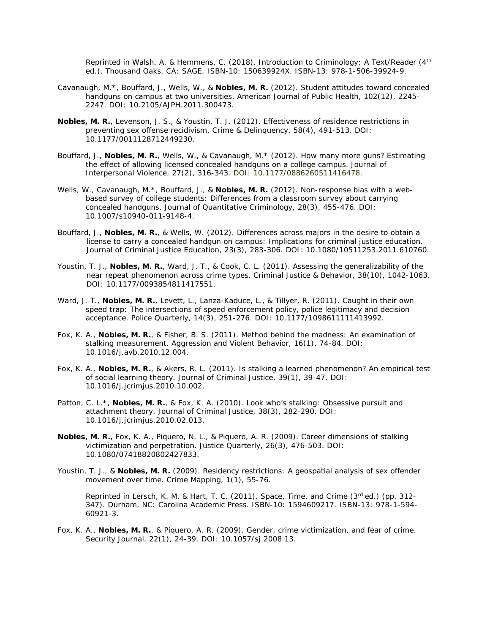Reprinted in Walsh, A. & Hemmens, C. (2018). *Introduction to Criminology: A Text/Reader* (4th ed.). Thousand Oaks, CA: SAGE. ISBN-10: 150639924X. ISBN-13: 978-1-506-39924-9.

- Cavanaugh, M.\*, Bouffard, J., Wells, W., & **Nobles, M. R.** (2012). Student attitudes toward concealed handguns on campus at two universities. *American Journal of Public Health, 102*(12), 2245- 2247. DOI: 10.2105/AJPH.2011.300473.
- **Nobles, M. R.**, Levenson, J. S., & Youstin, T. J. (2012). Effectiveness of residence restrictions in preventing sex offense recidivism. *Crime & Delinquency, 58*(4), 491-513. DOI: 10.1177/0011128712449230.
- Bouffard, J., **Nobles, M. R.**, Wells, W., & Cavanaugh, M.\* (2012). How many more guns? Estimating the effect of allowing licensed concealed handguns on a college campus. *Journal of Interpersonal Violence, 27*(2), 316-343. DOI: 10.1177/0886260511416478.
- Wells, W., Cavanaugh, M.\*, Bouffard, J., & **Nobles, M. R.** (2012). Non-response bias with a webbased survey of college students: Differences from a classroom survey about carrying concealed handguns. *Journal of Quantitative Criminology*, *28*(3), 455-476. DOI: 10.1007/s10940-011-9148-4.
- Bouffard, J., **Nobles, M. R.**, & Wells, W. (2012). Differences across majors in the desire to obtain a license to carry a concealed handgun on campus: Implications for criminal justice education. *Journal of Criminal Justice Education, 23*(3), 283-306. DOI: 10.1080/10511253.2011.610760.
- Youstin, T. J., **Nobles, M. R.**, Ward, J. T., & Cook, C. L. (2011). Assessing the generalizability of the near repeat phenomenon across crime types. *Criminal Justice & Behavior, 38*(10), 1042-1063. DOI: 10.1177/0093854811417551.
- Ward, J. T., **Nobles, M. R.**, Levett, L., Lanza-Kaduce, L., & Tillyer, R. (2011). Caught in their own speed trap: The intersections of speed enforcement policy, police legitimacy and decision acceptance. *Police Quarterly, 14*(3), 251-276. DOI: 10.1177/1098611111413992.
- Fox, K. A., **Nobles, M. R.**, & Fisher, B. S. (2011). Method behind the madness: An examination of stalking measurement. *Aggression and Violent Behavior*, *16*(1), 74-84. DOI: 10.1016/j.avb.2010.12.004.
- Fox, K. A., **Nobles, M. R.**, & Akers, R. L. (2011). Is stalking a learned phenomenon? An empirical test of social learning theory. *Journal of Criminal Justice, 39*(1), 39-47. DOI: 10.1016/j.jcrimjus.2010.10.002.
- Patton, C. L.\*, **Nobles, M. R.**, & Fox, K. A. (2010). Look who's stalking: Obsessive pursuit and attachment theory. *Journal of Criminal Justice, 38*(3), 282-290. DOI: 10.1016/j.jcrimjus.2010.02.013.
- **Nobles, M. R.**, Fox, K. A., Piquero, N. L., & Piquero, A. R. (2009). Career dimensions of stalking victimization and perpetration. *Justice Quarterly, 26*(3), 476-503. DOI: 10.1080/07418820802427833.
- Youstin, T. J., & **Nobles, M. R.** (2009). Residency restrictions: A geospatial analysis of sex offender movement over time. *Crime Mapping, 1*(1), 55-76.

 Reprinted in Lersch, K. M. & Hart, T. C. (2011). *Space, Time, and Crime* (3rd ed.) (pp. 312- 347). Durham, NC: Carolina Academic Press. ISBN-10: 1594609217. ISBN-13: 978-1-594- 60921-3.

Fox, K. A., **Nobles, M. R.**, & Piquero, A. R. (2009). Gender, crime victimization, and fear of crime. *Security Journal*, *22*(1), 24-39. DOI: 10.1057/sj.2008.13.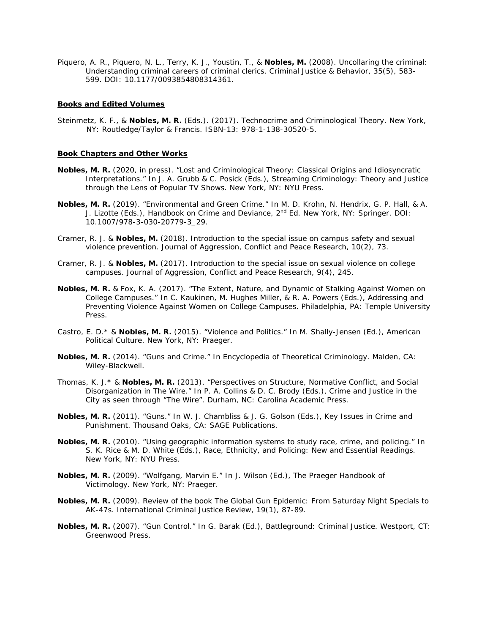Piquero, A. R., Piquero, N. L., Terry, K. J., Youstin, T., & **Nobles, M.** (2008). Uncollaring the criminal: Understanding criminal careers of criminal clerics. *Criminal Justice & Behavior, 35*(5), 583- 599. DOI: 10.1177/0093854808314361.

#### **Books and Edited Volumes**

Steinmetz, K. F., & **Nobles, M. R.** (Eds.). (2017). *Technocrime and Criminological Theory*. New York, NY: Routledge/Taylor & Francis. ISBN-13: 978-1-138-30520-5.

#### **Book Chapters and Other Works**

- **Nobles, M. R.** (2020, in press). "*Lost* and Criminological Theory: Classical Origins and Idiosyncratic Interpretations." In J. A. Grubb & C. Posick (Eds.), *Streaming Criminology: Theory and Justice through the Lens of Popular TV Shows*. New York, NY: NYU Press.
- **Nobles, M. R.** (2019). "Environmental and Green Crime." In M. D. Krohn, N. Hendrix, G. P. Hall, & A. J. Lizotte (Eds.), *Handbook on Crime and Deviance*, 2nd Ed. New York, NY: Springer. DOI: 10.1007/978-3-030-20779-3\_29.
- Cramer, R. J. & **Nobles, M.** (2018). Introduction to the special issue on campus safety and sexual violence prevention. *Journal of Aggression, Conflict and Peace Research, 10*(2), 73.
- Cramer, R. J. & **Nobles, M.** (2017). Introduction to the special issue on sexual violence on college campuses. *Journal of Aggression, Conflict and Peace Research, 9*(4), 245.
- **Nobles, M. R.** & Fox, K. A. (2017). "The Extent, Nature, and Dynamic of Stalking Against Women on College Campuses." In C. Kaukinen, M. Hughes Miller, & R. A. Powers (Eds.), *Addressing and Preventing Violence Against Women on College Campuses*. Philadelphia, PA: Temple University **Press**
- Castro, E. D.\* & **Nobles, M. R.** (2015). "Violence and Politics." In M. Shally-Jensen (Ed.), *American Political Culture*. New York, NY: Praeger.
- **Nobles, M. R.** (2014). "Guns and Crime." In *Encyclopedia of Theoretical Criminology*. Malden, CA: Wiley-Blackwell.
- Thomas, K. J.\* & **Nobles, M. R.** (2013). "Perspectives on Structure, Normative Conflict, and Social Disorganization in *The Wire*." In P. A. Collins & D. C. Brody (Eds.), *Crime and Justice in the City as seen through "The Wire"*. Durham, NC: Carolina Academic Press.
- **Nobles, M. R.** (2011). "Guns." In W. J. Chambliss & J. G. Golson (Eds.), *Key Issues in Crime and Punishment*. Thousand Oaks, CA: SAGE Publications.
- **Nobles, M. R.** (2010). "Using geographic information systems to study race, crime, and policing." In S. K. Rice & M. D. White (Eds.), *Race, Ethnicity, and Policing: New and Essential Readings*. New York, NY: NYU Press.
- **Nobles, M. R.** (2009). "Wolfgang, Marvin E." In J. Wilson (Ed.), *The Praeger Handbook of Victimology.* New York, NY: Praeger.
- **Nobles, M. R.** (2009). Review of the book *The Global Gun Epidemic: From Saturday Night Specials to AK-47s*. *International Criminal Justice Review, 19*(1), 87-89.
- **Nobles, M. R.** (2007). "Gun Control." In G. Barak (Ed.), *Battleground: Criminal Justice*. Westport, CT: Greenwood Press.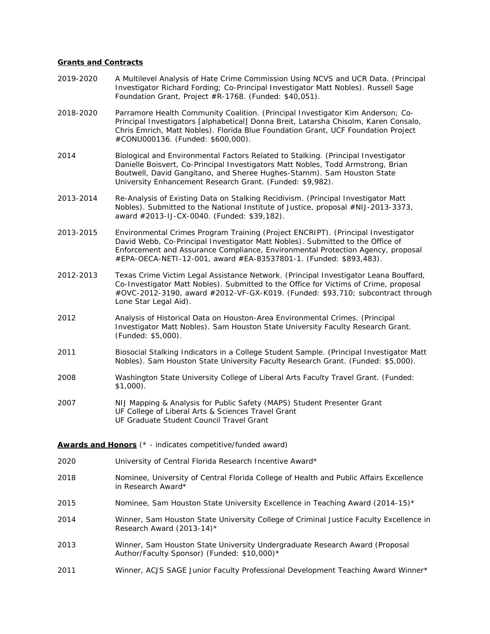### **Grants and Contracts**

- 2019-2020 A Multilevel Analysis of Hate Crime Commission Using NCVS and UCR Data. (Principal Investigator Richard Fording; Co-Principal Investigator Matt Nobles). Russell Sage Foundation Grant, Project #R-1768. (Funded: \$40,051).
- 2018-2020 Parramore Health Community Coalition. (Principal Investigator Kim Anderson; Co-Principal Investigators [alphabetical] Donna Breit, Latarsha Chisolm, Karen Consalo, Chris Emrich, Matt Nobles). Florida Blue Foundation Grant, UCF Foundation Project #CONU000136. (Funded: \$600,000).
- 2014 Biological and Environmental Factors Related to Stalking. (Principal Investigator Danielle Boisvert, Co-Principal Investigators Matt Nobles, Todd Armstrong, Brian Boutwell, David Gangitano, and Sheree Hughes-Stamm). Sam Houston State University Enhancement Research Grant. (Funded: \$9,982).
- 2013-2014 Re-Analysis of Existing Data on Stalking Recidivism. (Principal Investigator Matt Nobles). Submitted to the National Institute of Justice, proposal #NIJ-2013-3373, award #2013-IJ-CX-0040. (Funded: \$39,182).
- 2013-2015 Environmental Crimes Program Training (Project ENCRIPT). (Principal Investigator David Webb, Co-Principal Investigator Matt Nobles). Submitted to the Office of Enforcement and Assurance Compliance, Environmental Protection Agency, proposal #EPA-OECA-NETI-12-001, award #EA-83537801-1. (Funded: \$893,483).
- 2012-2013 Texas Crime Victim Legal Assistance Network. (Principal Investigator Leana Bouffard, Co-Investigator Matt Nobles). Submitted to the Office for Victims of Crime, proposal #OVC-2012-3190, award #2012-VF-GX-K019. (Funded: \$93,710; subcontract through Lone Star Legal Aid).
- 2012 Analysis of Historical Data on Houston-Area Environmental Crimes. (Principal Investigator Matt Nobles). Sam Houston State University Faculty Research Grant. (Funded: \$5,000).
- 2011 Biosocial Stalking Indicators in a College Student Sample. (Principal Investigator Matt Nobles). Sam Houston State University Faculty Research Grant. (Funded: \$5,000).
- 2008 Washington State University College of Liberal Arts Faculty Travel Grant. (Funded: \$1,000).
- 2007 NIJ Mapping & Analysis for Public Safety (MAPS) Student Presenter Grant UF College of Liberal Arts & Sciences Travel Grant UF Graduate Student Council Travel Grant

## **Awards and Honors** (\* - indicates competitive/funded award)

- 2020 University of Central Florida Research Incentive Award\*
- 2018 Nominee, University of Central Florida College of Health and Public Affairs Excellence in Research Award\*
- 2015 Nominee, Sam Houston State University Excellence in Teaching Award (2014-15)\*
- 2014 Winner, Sam Houston State University College of Criminal Justice Faculty Excellence in Research Award (2013-14)\*
- 2013 Winner, Sam Houston State University Undergraduate Research Award (Proposal Author/Faculty Sponsor) (Funded: \$10,000)\*
- 2011 Winner, ACJS SAGE Junior Faculty Professional Development Teaching Award Winner\*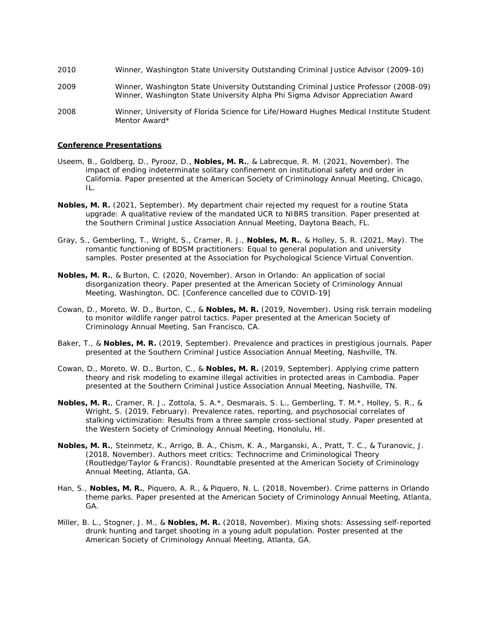- 2010 Winner, Washington State University Outstanding Criminal Justice Advisor (2009-10)
- 2009 Winner, Washington State University Outstanding Criminal Justice Professor (2008-09) Winner, Washington State University Alpha Phi Sigma Advisor Appreciation Award
- 2008 Winner, University of Florida Science for Life/Howard Hughes Medical Institute Student Mentor Award\*

### **Conference Presentations**

- Useem, B., Goldberg, D., Pyrooz, D., **Nobles, M. R.**, & Labrecque, R. M. (2021, November). The impact of ending indeterminate solitary confinement on institutional safety and order in California. Paper presented at the American Society of Criminology Annual Meeting, Chicago, IL.
- **Nobles, M. R.** (2021, September). My department chair rejected my request for a routine Stata upgrade: A qualitative review of the mandated UCR to NIBRS transition. Paper presented at the Southern Criminal Justice Association Annual Meeting, Daytona Beach, FL.
- Gray, S., Gemberling, T., Wright, S., Cramer, R. J., **Nobles, M. R.**, & Holley, S. R. (2021, May). The romantic functioning of BDSM practitioners: Equal to general population and university samples. Poster presented at the Association for Psychological Science Virtual Convention.
- **Nobles, M. R.**, & Burton, C. (2020, November). Arson in Orlando: An application of social disorganization theory. Paper presented at the American Society of Criminology Annual Meeting, Washington, DC. [Conference cancelled due to COVID-19]
- Cowan, D., Moreto, W. D., Burton, C., & **Nobles, M. R.** (2019, November). Using risk terrain modeling to monitor wildlife ranger patrol tactics. Paper presented at the American Society of Criminology Annual Meeting, San Francisco, CA.
- Baker, T., & **Nobles, M. R.** (2019, September). Prevalence and practices in prestigious journals. Paper presented at the Southern Criminal Justice Association Annual Meeting, Nashville, TN.
- Cowan, D., Moreto, W. D., Burton, C., & **Nobles, M. R.** (2019, September). Applying crime pattern theory and risk modeling to examine illegal activities in protected areas in Cambodia. Paper presented at the Southern Criminal Justice Association Annual Meeting, Nashville, TN.
- **Nobles, M. R.**, Cramer, R. J., Zottola, S. A.\*, Desmarais, S. L., Gemberling, T. M.\*, Holley, S. R., & Wright, S. (2019, February). Prevalence rates, reporting, and psychosocial correlates of stalking victimization: Results from a three sample cross-sectional study. Paper presented at the Western Society of Criminology Annual Meeting, Honolulu, HI.
- **Nobles, M. R.**, Steinmetz, K., Arrigo, B. A., Chism, K. A., Marganski, A., Pratt, T. C., & Turanovic, J. (2018, November). Authors meet critics: *Technocrime and Criminological Theory*  (Routledge/Taylor & Francis). Roundtable presented at the American Society of Criminology Annual Meeting, Atlanta, GA.
- Han, S., **Nobles, M. R.**, Piquero, A. R., & Piquero, N. L. (2018, November). Crime patterns in Orlando theme parks. Paper presented at the American Society of Criminology Annual Meeting, Atlanta, GA.
- Miller, B. L., Stogner, J. M., & **Nobles, M. R.** (2018, November). Mixing shots: Assessing self-reported drunk hunting and target shooting in a young adult population. Poster presented at the American Society of Criminology Annual Meeting, Atlanta, GA.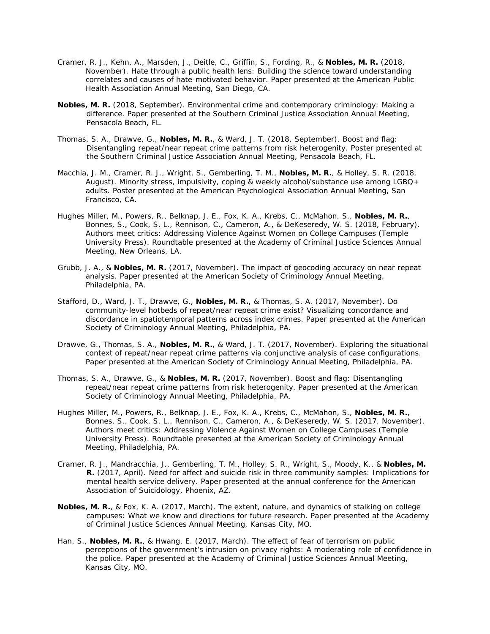- Cramer, R. J., Kehn, A., Marsden, J., Deitle, C., Griffin, S., Fording, R., & **Nobles, M. R.** (2018, November). Hate through a public health lens: Building the science toward understanding correlates and causes of hate-motivated behavior. Paper presented at the American Public Health Association Annual Meeting, San Diego, CA.
- **Nobles, M. R.** (2018, September). Environmental crime and contemporary criminology: Making a difference. Paper presented at the Southern Criminal Justice Association Annual Meeting, Pensacola Beach, FL*.*
- Thomas, S. A., Drawve, G., **Nobles, M. R.**, & Ward, J. T. (2018, September). Boost and flag: Disentangling repeat/near repeat crime patterns from risk heterogenity. Poster presented at the Southern Criminal Justice Association Annual Meeting, Pensacola Beach, FL*.*
- Macchia, J. M., Cramer, R. J., Wright, S., Gemberling, T. M., **Nobles, M. R.**, & Holley, S. R. (2018, August). Minority stress, impulsivity, coping & weekly alcohol/substance use among LGBQ+ adults. Poster presented at the American Psychological Association Annual Meeting, San Francisco, CA.
- Hughes Miller, M., Powers, R., Belknap, J. E., Fox, K. A., Krebs, C., McMahon, S., **Nobles, M. R.**, Bonnes, S., Cook, S. L., Rennison, C., Cameron, A., & DeKeseredy, W. S. (2018, February). Authors meet critics: *Addressing Violence Against Women on College Campuses* (Temple University Press). Roundtable presented at the Academy of Criminal Justice Sciences Annual Meeting, New Orleans, LA.
- Grubb, J. A., & **Nobles, M. R.** (2017, November). The impact of geocoding accuracy on near repeat analysis. Paper presented at the American Society of Criminology Annual Meeting, Philadelphia, PA.
- Stafford, D., Ward, J. T., Drawve, G., **Nobles, M. R.**, & Thomas, S. A. (2017, November). Do community-level hotbeds of repeat/near repeat crime exist? Visualizing concordance and discordance in spatiotemporal patterns across index crimes. Paper presented at the American Society of Criminology Annual Meeting, Philadelphia, PA.
- Drawve, G., Thomas, S. A., **Nobles, M. R.**, & Ward, J. T. (2017, November). Exploring the situational context of repeat/near repeat crime patterns via conjunctive analysis of case configurations. Paper presented at the American Society of Criminology Annual Meeting, Philadelphia, PA.
- Thomas, S. A., Drawve, G., & **Nobles, M. R.** (2017, November). Boost and flag: Disentangling repeat/near repeat crime patterns from risk heterogenity. Paper presented at the American Society of Criminology Annual Meeting, Philadelphia, PA.
- Hughes Miller, M., Powers, R., Belknap, J. E., Fox, K. A., Krebs, C., McMahon, S., **Nobles, M. R.**, Bonnes, S., Cook, S. L., Rennison, C., Cameron, A., & DeKeseredy, W. S. (2017, November). Authors meet critics: *Addressing Violence Against Women on College Campuses* (Temple University Press). Roundtable presented at the American Society of Criminology Annual Meeting, Philadelphia, PA.
- Cramer, R. J., Mandracchia, J., Gemberling, T. M., Holley, S. R., Wright, S., Moody, K., & **Nobles, M. R.** (2017, April). Need for affect and suicide risk in three community samples: Implications for mental health service delivery. Paper presented at the annual conference for the American Association of Suicidology, Phoenix, AZ.
- **Nobles, M. R.**, & Fox, K. A. (2017, March). The extent, nature, and dynamics of stalking on college campuses: What we know and directions for future research. Paper presented at the Academy of Criminal Justice Sciences Annual Meeting, Kansas City, MO.
- Han, S., **Nobles, M. R.**, & Hwang, E. (2017, March). The effect of fear of terrorism on public perceptions of the government's intrusion on privacy rights: A moderating role of confidence in the police. Paper presented at the Academy of Criminal Justice Sciences Annual Meeting, Kansas City, MO.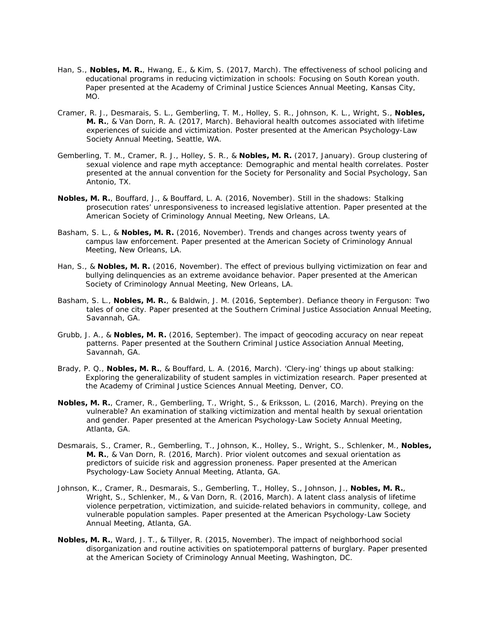- Han, S., **Nobles, M. R.**, Hwang, E., & Kim, S. (2017, March). The effectiveness of school policing and educational programs in reducing victimization in schools: Focusing on South Korean youth. Paper presented at the Academy of Criminal Justice Sciences Annual Meeting, Kansas City, MO.
- Cramer, R. J., Desmarais, S. L., Gemberling, T. M., Holley, S. R., Johnson, K. L., Wright, S., **Nobles, M. R.**, & Van Dorn, R. A. (2017, March). Behavioral health outcomes associated with lifetime experiences of suicide and victimization. Poster presented at the American Psychology-Law Society Annual Meeting, Seattle, WA.
- Gemberling, T. M., Cramer, R. J., Holley, S. R., & **Nobles, M. R.** (2017, January). Group clustering of sexual violence and rape myth acceptance: Demographic and mental health correlates. Poster presented at the annual convention for the Society for Personality and Social Psychology, San Antonio, TX.
- **Nobles, M. R.**, Bouffard, J., & Bouffard, L. A. (2016, November). Still in the shadows: Stalking prosecution rates' unresponsiveness to increased legislative attention. Paper presented at the American Society of Criminology Annual Meeting, New Orleans, LA.
- Basham, S. L., & **Nobles, M. R.** (2016, November). Trends and changes across twenty years of campus law enforcement. Paper presented at the American Society of Criminology Annual Meeting, New Orleans, LA.
- Han, S., & **Nobles, M. R.** (2016, November). The effect of previous bullying victimization on fear and bullying delinquencies as an extreme avoidance behavior. Paper presented at the American Society of Criminology Annual Meeting, New Orleans, LA.
- Basham, S. L., **Nobles, M. R.**, & Baldwin, J. M. (2016, September). Defiance theory in Ferguson: Two tales of one city. Paper presented at the Southern Criminal Justice Association Annual Meeting, Savannah, GA.
- Grubb, J. A., & **Nobles, M. R.** (2016, September). The impact of geocoding accuracy on near repeat patterns. Paper presented at the Southern Criminal Justice Association Annual Meeting, Savannah, GA.
- Brady, P. Q., **Nobles, M. R.**, & Bouffard, L. A. (2016, March). 'Clery-ing' things up about stalking: Exploring the generalizability of student samples in victimization research. Paper presented at the Academy of Criminal Justice Sciences Annual Meeting, Denver, CO.
- **Nobles, M. R.**, Cramer, R., Gemberling, T., Wright, S., & Eriksson, L. (2016, March). Preying on the vulnerable? An examination of stalking victimization and mental health by sexual orientation and gender. Paper presented at the American Psychology-Law Society Annual Meeting, Atlanta, GA.
- Desmarais, S., Cramer, R., Gemberling, T., Johnson, K., Holley, S., Wright, S., Schlenker, M., **Nobles, M. R.**, & Van Dorn, R. (2016, March). Prior violent outcomes and sexual orientation as predictors of suicide risk and aggression proneness. Paper presented at the American Psychology-Law Society Annual Meeting, Atlanta, GA.
- Johnson, K., Cramer, R., Desmarais, S., Gemberling, T., Holley, S., Johnson, J., **Nobles, M. R.**, Wright, S., Schlenker, M., & Van Dorn, R. (2016, March). A latent class analysis of lifetime violence perpetration, victimization, and suicide-related behaviors in community, college, and vulnerable population samples. Paper presented at the American Psychology-Law Society Annual Meeting, Atlanta, GA.
- **Nobles, M. R.**, Ward, J. T., & Tillyer, R. (2015, November). The impact of neighborhood social disorganization and routine activities on spatiotemporal patterns of burglary. Paper presented at the American Society of Criminology Annual Meeting, Washington, DC.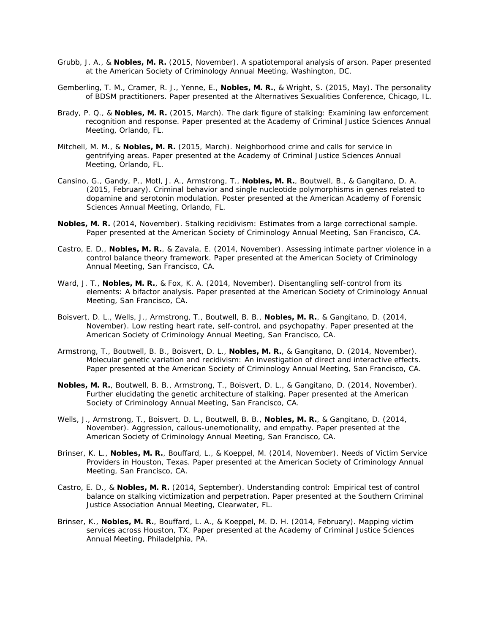- Grubb, J. A., & **Nobles, M. R.** (2015, November). A spatiotemporal analysis of arson. Paper presented at the American Society of Criminology Annual Meeting, Washington, DC.
- Gemberling, T. M., Cramer, R. J., Yenne, E., **Nobles, M. R.**, & Wright, S. (2015, May). The personality of BDSM practitioners. Paper presented at the Alternatives Sexualities Conference, Chicago, IL.
- Brady, P. Q., & **Nobles, M. R.** (2015, March). The dark figure of stalking: Examining law enforcement recognition and response. Paper presented at the Academy of Criminal Justice Sciences Annual Meeting, Orlando, FL.
- Mitchell, M. M., & **Nobles, M. R.** (2015, March). Neighborhood crime and calls for service in gentrifying areas. Paper presented at the Academy of Criminal Justice Sciences Annual Meeting, Orlando, FL.
- Cansino, G., Gandy, P., Motl, J. A., Armstrong, T., **Nobles, M. R.**, Boutwell, B., & Gangitano, D. A. (2015, February). Criminal behavior and single nucleotide polymorphisms in genes related to dopamine and serotonin modulation. Poster presented at the American Academy of Forensic Sciences Annual Meeting, Orlando, FL.
- **Nobles, M. R.** (2014, November). Stalking recidivism: Estimates from a large correctional sample. Paper presented at the American Society of Criminology Annual Meeting, San Francisco, CA.
- Castro, E. D., **Nobles, M. R.**, & Zavala, E. (2014, November). Assessing intimate partner violence in a control balance theory framework. Paper presented at the American Society of Criminology Annual Meeting, San Francisco, CA.
- Ward, J. T., **Nobles, M. R.**, & Fox, K. A. (2014, November). Disentangling self-control from its elements: A bifactor analysis. Paper presented at the American Society of Criminology Annual Meeting, San Francisco, CA.
- Boisvert, D. L., Wells, J., Armstrong, T., Boutwell, B. B., **Nobles, M. R.**, & Gangitano, D. (2014, November). Low resting heart rate, self-control, and psychopathy. Paper presented at the American Society of Criminology Annual Meeting, San Francisco, CA.
- Armstrong, T., Boutwell, B. B., Boisvert, D. L., **Nobles, M. R.**, & Gangitano, D. (2014, November). Molecular genetic variation and recidivism: An investigation of direct and interactive effects. Paper presented at the American Society of Criminology Annual Meeting, San Francisco, CA.
- **Nobles, M. R.**, Boutwell, B. B., Armstrong, T., Boisvert, D. L., & Gangitano, D. (2014, November). Further elucidating the genetic architecture of stalking. Paper presented at the American Society of Criminology Annual Meeting, San Francisco, CA.
- Wells, J., Armstrong, T., Boisvert, D. L., Boutwell, B. B., **Nobles, M. R.**, & Gangitano, D. (2014, November). Aggression, callous-unemotionality, and empathy. Paper presented at the American Society of Criminology Annual Meeting, San Francisco, CA.
- Brinser, K. L., **Nobles, M. R.**, Bouffard, L., & Koeppel, M. (2014, November). Needs of Victim Service Providers in Houston, Texas. Paper presented at the American Society of Criminology Annual Meeting, San Francisco, CA.
- Castro, E. D., & **Nobles, M. R.** (2014, September). Understanding control: Empirical test of control balance on stalking victimization and perpetration. Paper presented at the Southern Criminal Justice Association Annual Meeting, Clearwater, FL.
- Brinser, K., **Nobles, M. R.**, Bouffard, L. A., & Koeppel, M. D. H. (2014, February). Mapping victim services across Houston, TX. Paper presented at the Academy of Criminal Justice Sciences Annual Meeting, Philadelphia, PA.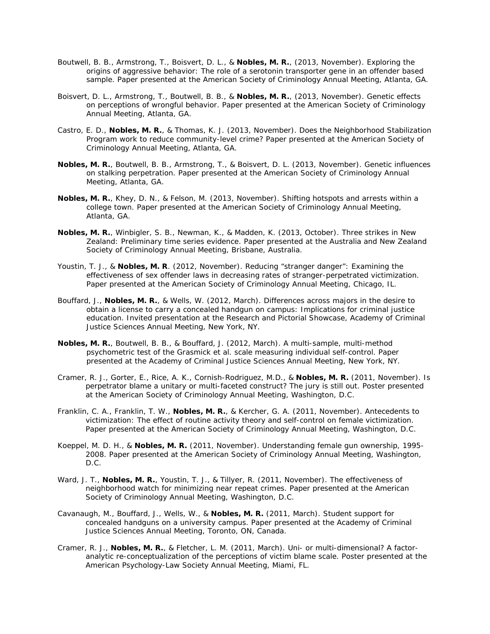- Boutwell, B. B., Armstrong, T., Boisvert, D. L., & **Nobles, M. R.**, (2013, November). Exploring the origins of aggressive behavior: The role of a serotonin transporter gene in an offender based sample. Paper presented at the American Society of Criminology Annual Meeting, Atlanta, GA.
- Boisvert, D. L., Armstrong, T., Boutwell, B. B., & **Nobles, M. R.**, (2013, November). Genetic effects on perceptions of wrongful behavior. Paper presented at the American Society of Criminology Annual Meeting, Atlanta, GA.
- Castro, E. D., **Nobles, M. R.**, & Thomas, K. J. (2013, November). Does the Neighborhood Stabilization Program work to reduce community-level crime? Paper presented at the American Society of Criminology Annual Meeting, Atlanta, GA.
- **Nobles, M. R.**, Boutwell, B. B., Armstrong, T., & Boisvert, D. L. (2013, November). Genetic influences on stalking perpetration. Paper presented at the American Society of Criminology Annual Meeting, Atlanta, GA.
- **Nobles, M. R.**, Khey, D. N., & Felson, M. (2013, November). Shifting hotspots and arrests within a college town. Paper presented at the American Society of Criminology Annual Meeting, Atlanta, GA.
- **Nobles, M. R.**, Winbigler, S. B., Newman, K., & Madden, K. (2013, October). Three strikes in New Zealand: Preliminary time series evidence. Paper presented at the Australia and New Zealand Society of Criminology Annual Meeting, Brisbane, Australia.
- Youstin, T. J., & **Nobles, M. R**. (2012, November). Reducing "stranger danger": Examining the effectiveness of sex offender laws in decreasing rates of stranger-perpetrated victimization. Paper presented at the American Society of Criminology Annual Meeting, Chicago, IL.
- Bouffard, J., **Nobles, M. R.**, & Wells, W. (2012, March). Differences across majors in the desire to obtain a license to carry a concealed handgun on campus: Implications for criminal justice education. Invited presentation at the Research and Pictorial Showcase, Academy of Criminal Justice Sciences Annual Meeting, New York, NY.
- **Nobles, M. R.**, Boutwell, B. B., & Bouffard, J. (2012, March). A multi-sample, multi-method psychometric test of the Grasmick et al. scale measuring individual self-control. Paper presented at the Academy of Criminal Justice Sciences Annual Meeting, New York, NY.
- Cramer, R. J., Gorter, E., Rice, A. K., Cornish-Rodriguez, M.D., & **Nobles, M. R.** (2011, November). Is perpetrator blame a unitary or multi-faceted construct? The jury is still out. Poster presented at the American Society of Criminology Annual Meeting, Washington, D.C.
- Franklin, C. A., Franklin, T. W., **Nobles, M. R.**, & Kercher, G. A. (2011, November). Antecedents to victimization: The effect of routine activity theory and self-control on female victimization. Paper presented at the American Society of Criminology Annual Meeting, Washington, D.C.
- Koeppel, M. D. H., & **Nobles, M. R.** (2011, November). Understanding female gun ownership, 1995- 2008. Paper presented at the American Society of Criminology Annual Meeting, Washington, D.C.
- Ward, J. T., **Nobles, M. R.**, Youstin, T. J., & Tillyer, R. (2011, November). The effectiveness of neighborhood watch for minimizing near repeat crimes. Paper presented at the American Society of Criminology Annual Meeting, Washington, D.C.
- Cavanaugh, M., Bouffard, J., Wells, W., & **Nobles, M. R.** (2011, March). Student support for concealed handguns on a university campus. Paper presented at the Academy of Criminal Justice Sciences Annual Meeting, Toronto, ON, Canada.
- Cramer, R. J., **Nobles, M. R.**, & Fletcher, L. M. (2011, March). Uni- or multi-dimensional? A factoranalytic re-conceptualization of the perceptions of victim blame scale. Poster presented at the American Psychology-Law Society Annual Meeting, Miami, FL.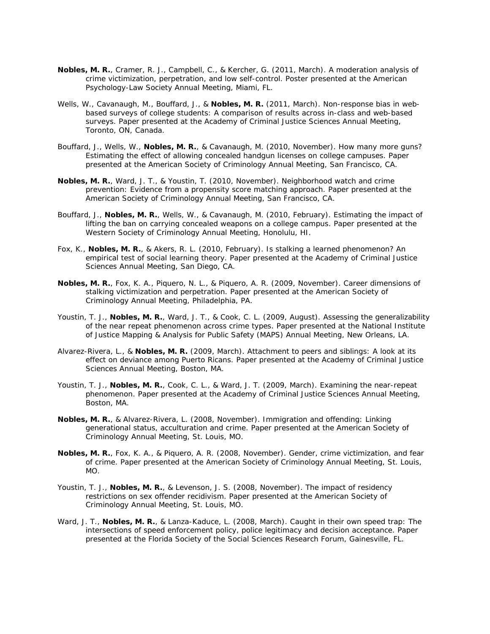- **Nobles, M. R.**, Cramer, R. J., Campbell, C., & Kercher, G. (2011, March). A moderation analysis of crime victimization, perpetration, and low self-control. Poster presented at the American Psychology-Law Society Annual Meeting, Miami, FL.
- Wells, W., Cavanaugh, M., Bouffard, J., & **Nobles, M. R.** (2011, March). Non-response bias in webbased surveys of college students: A comparison of results across in-class and web-based surveys. Paper presented at the Academy of Criminal Justice Sciences Annual Meeting, Toronto, ON, Canada.
- Bouffard, J., Wells, W., **Nobles, M. R.**, & Cavanaugh, M. (2010, November). How many more guns? Estimating the effect of allowing concealed handgun licenses on college campuses. Paper presented at the American Society of Criminology Annual Meeting, San Francisco, CA.
- **Nobles, M. R.**, Ward, J. T., & Youstin, T. (2010, November). Neighborhood watch and crime prevention: Evidence from a propensity score matching approach. Paper presented at the American Society of Criminology Annual Meeting, San Francisco, CA.
- Bouffard, J., **Nobles, M. R.**, Wells, W., & Cavanaugh, M. (2010, February). Estimating the impact of lifting the ban on carrying concealed weapons on a college campus. Paper presented at the Western Society of Criminology Annual Meeting, Honolulu, HI.
- Fox, K., **Nobles, M. R.**, & Akers, R. L. (2010, February). Is stalking a learned phenomenon? An empirical test of social learning theory. Paper presented at the Academy of Criminal Justice Sciences Annual Meeting, San Diego, CA.
- **Nobles, M. R.**, Fox, K. A., Piquero, N. L., & Piquero, A. R. (2009, November). Career dimensions of stalking victimization and perpetration. Paper presented at the American Society of Criminology Annual Meeting, Philadelphia, PA.
- Youstin, T. J., **Nobles, M. R.**, Ward, J. T., & Cook, C. L. (2009, August). Assessing the generalizability of the near repeat phenomenon across crime types. Paper presented at the National Institute of Justice Mapping & Analysis for Public Safety (MAPS) Annual Meeting, New Orleans, LA.
- Alvarez-Rivera, L., & **Nobles, M. R.** (2009, March). Attachment to peers and siblings: A look at its effect on deviance among Puerto Ricans. Paper presented at the Academy of Criminal Justice Sciences Annual Meeting, Boston, MA.
- Youstin, T. J., **Nobles, M. R.**, Cook, C. L., & Ward, J. T. (2009, March). Examining the near-repeat phenomenon. Paper presented at the Academy of Criminal Justice Sciences Annual Meeting, Boston, MA.
- **Nobles, M. R.**, & Alvarez-Rivera, L. (2008, November). Immigration and offending: Linking generational status, acculturation and crime. Paper presented at the American Society of Criminology Annual Meeting, St. Louis, MO.
- **Nobles, M. R.**, Fox, K. A., & Piquero, A. R. (2008, November). Gender, crime victimization, and fear of crime. Paper presented at the American Society of Criminology Annual Meeting, St. Louis, MO.
- Youstin, T. J., **Nobles, M. R.**, & Levenson, J. S. (2008, November). The impact of residency restrictions on sex offender recidivism. Paper presented at the American Society of Criminology Annual Meeting, St. Louis, MO.
- Ward, J. T., **Nobles, M. R.**, & Lanza-Kaduce, L. (2008, March). Caught in their own speed trap: The intersections of speed enforcement policy, police legitimacy and decision acceptance. Paper presented at the Florida Society of the Social Sciences Research Forum, Gainesville, FL.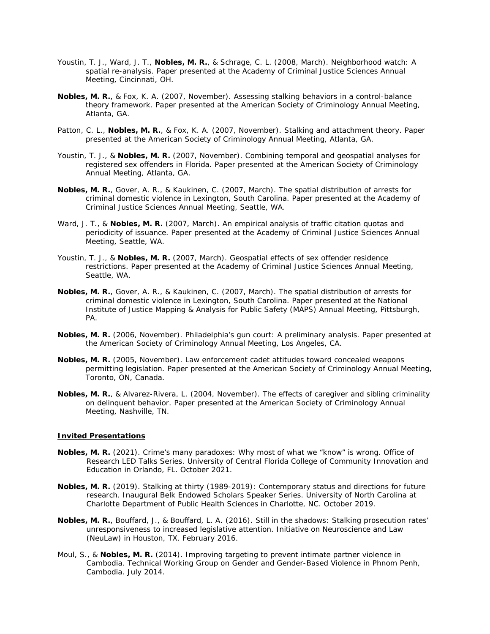- Youstin, T. J., Ward, J. T., **Nobles, M. R.**, & Schrage, C. L. (2008, March). Neighborhood watch: A spatial re-analysis. Paper presented at the Academy of Criminal Justice Sciences Annual Meeting, Cincinnati, OH.
- **Nobles, M. R.**, & Fox, K. A. (2007, November). Assessing stalking behaviors in a control-balance theory framework. Paper presented at the American Society of Criminology Annual Meeting, Atlanta, GA.
- Patton, C. L., **Nobles, M. R.**, & Fox, K. A. (2007, November). Stalking and attachment theory. Paper presented at the American Society of Criminology Annual Meeting, Atlanta, GA.
- Youstin, T. J., & **Nobles, M. R.** (2007, November). Combining temporal and geospatial analyses for registered sex offenders in Florida. Paper presented at the American Society of Criminology Annual Meeting, Atlanta, GA.
- **Nobles, M. R.**, Gover, A. R., & Kaukinen, C. (2007, March). The spatial distribution of arrests for criminal domestic violence in Lexington, South Carolina. Paper presented at the Academy of Criminal Justice Sciences Annual Meeting, Seattle, WA.
- Ward, J. T., & **Nobles, M. R.** (2007, March). An empirical analysis of traffic citation quotas and periodicity of issuance. Paper presented at the Academy of Criminal Justice Sciences Annual Meeting, Seattle, WA.
- Youstin, T. J., & **Nobles, M. R.** (2007, March). Geospatial effects of sex offender residence restrictions. Paper presented at the Academy of Criminal Justice Sciences Annual Meeting, Seattle, WA.
- **Nobles, M. R.**, Gover, A. R., & Kaukinen, C. (2007, March). The spatial distribution of arrests for criminal domestic violence in Lexington, South Carolina. Paper presented at the National Institute of Justice Mapping & Analysis for Public Safety (MAPS) Annual Meeting, Pittsburgh, PA.
- **Nobles, M. R.** (2006, November). Philadelphia's gun court: A preliminary analysis. Paper presented at the American Society of Criminology Annual Meeting, Los Angeles, CA.
- **Nobles, M. R.** (2005, November). Law enforcement cadet attitudes toward concealed weapons permitting legislation. Paper presented at the American Society of Criminology Annual Meeting, Toronto, ON, Canada.
- **Nobles, M. R.**, & Alvarez-Rivera, L. (2004, November). The effects of caregiver and sibling criminality on delinquent behavior. Paper presented at the American Society of Criminology Annual Meeting, Nashville, TN.

# **Invited Presentations**

- **Nobles, M. R.** (2021). Crime's many paradoxes: Why most of what we "know" is wrong. Office of Research LED Talks Series. *University of Central Florida College of Community Innovation and Education* in Orlando, FL. October 2021.
- **Nobles, M. R.** (2019). Stalking at thirty (1989-2019): Contemporary status and directions for future research. Inaugural Belk Endowed Scholars Speaker Series. *University of North Carolina at Charlotte Department of Public Health Sciences* in Charlotte, NC. October 2019.
- **Nobles, M. R.**, Bouffard, J., & Bouffard, L. A. (2016). Still in the shadows: Stalking prosecution rates' unresponsiveness to increased legislative attention. *Initiative on Neuroscience and Law (NeuLaw)* in Houston, TX. February 2016.
- Moul, S., & **Nobles, M. R.** (2014). Improving targeting to prevent intimate partner violence in Cambodia. *Technical Working Group on Gender and Gender-Based Violence* in Phnom Penh, Cambodia. July 2014.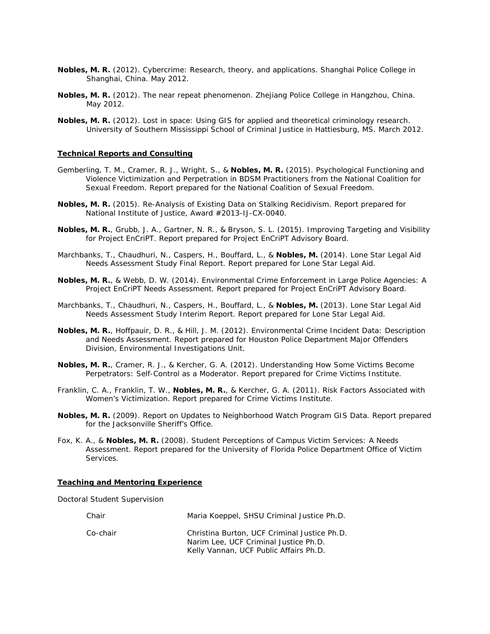- **Nobles, M. R.** (2012). Cybercrime: Research, theory, and applications. *Shanghai Police College* in Shanghai, China. May 2012.
- **Nobles, M. R.** (2012). The near repeat phenomenon. *Zhejiang Police College* in Hangzhou, China. May 2012.
- **Nobles, M. R.** (2012). Lost in space: Using GIS for applied and theoretical criminology research. *University of Southern Mississippi School of Criminal Justice* in Hattiesburg, MS. March 2012.

#### **Technical Reports and Consulting**

- Gemberling, T. M., Cramer, R. J., Wright, S., & **Nobles, M. R.** (2015). Psychological Functioning and Violence Victimization and Perpetration in BDSM Practitioners from the National Coalition for Sexual Freedom. Report prepared for the National Coalition of Sexual Freedom.
- **Nobles, M. R.** (2015). Re-Analysis of Existing Data on Stalking Recidivism. Report prepared for National Institute of Justice, Award #2013-IJ-CX-0040.
- **Nobles, M. R.**, Grubb, J. A., Gartner, N. R., & Bryson, S. L. (2015). Improving Targeting and Visibility for Project EnCriPT. Report prepared for Project EnCriPT Advisory Board.
- Marchbanks, T., Chaudhuri, N., Caspers, H., Bouffard, L., & **Nobles, M.** (2014). Lone Star Legal Aid Needs Assessment Study Final Report. Report prepared for Lone Star Legal Aid.
- **Nobles, M. R.**, & Webb, D. W. (2014). Environmental Crime Enforcement in Large Police Agencies: A Project EnCriPT Needs Assessment. Report prepared for Project EnCriPT Advisory Board.
- Marchbanks, T., Chaudhuri, N., Caspers, H., Bouffard, L., & **Nobles, M.** (2013). Lone Star Legal Aid Needs Assessment Study Interim Report. Report prepared for Lone Star Legal Aid.
- **Nobles, M. R.**, Hoffpauir, D. R., & Hill, J. M. (2012). Environmental Crime Incident Data: Description and Needs Assessment. Report prepared for Houston Police Department Major Offenders Division, Environmental Investigations Unit.
- **Nobles, M. R.**, Cramer, R. J., & Kercher, G. A. (2012). Understanding How Some Victims Become Perpetrators: Self-Control as a Moderator. Report prepared for Crime Victims Institute.
- Franklin, C. A., Franklin, T. W., **Nobles, M. R.**, & Kercher, G. A. (2011). Risk Factors Associated with Women's Victimization. Report prepared for Crime Victims Institute.
- **Nobles, M. R.** (2009). Report on Updates to Neighborhood Watch Program GIS Data. Report prepared for the Jacksonville Sheriff's Office.
- Fox, K. A., & **Nobles, M. R.** (2008). Student Perceptions of Campus Victim Services: A Needs Assessment. Report prepared for the University of Florida Police Department Office of Victim Services.

### **Teaching and Mentoring Experience**

*Doctoral Student Supervision* 

| Chair    | Maria Koeppel, SHSU Criminal Justice Ph.D.                                                                                      |
|----------|---------------------------------------------------------------------------------------------------------------------------------|
| Co-chair | Christina Burton, UCF Criminal Justice Ph.D.<br>Narim Lee, UCF Criminal Justice Ph.D.<br>Kelly Vannan, UCF Public Affairs Ph.D. |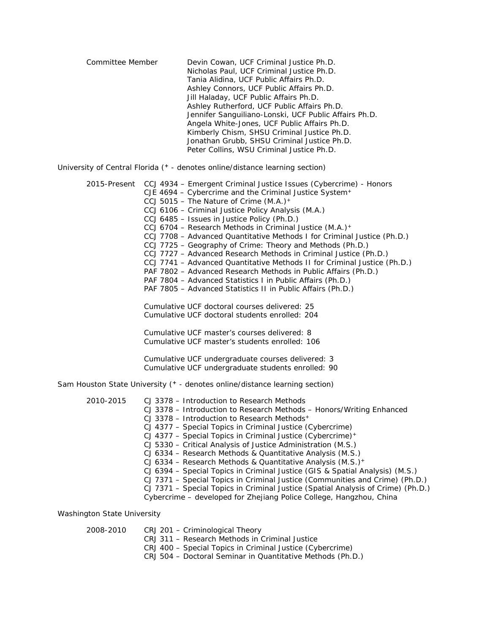Committee Member Devin Cowan, UCF Criminal Justice Ph.D. Nicholas Paul, UCF Criminal Justice Ph.D. Tania Alidina, UCF Public Affairs Ph.D. Ashley Connors, UCF Public Affairs Ph.D. Jill Haladay, UCF Public Affairs Ph.D. Ashley Rutherford, UCF Public Affairs Ph.D. Jennifer Sanguiliano-Lonski, UCF Public Affairs Ph.D. Angela White-Jones, UCF Public Affairs Ph.D. Kimberly Chism, SHSU Criminal Justice Ph.D. Jonathan Grubb, SHSU Criminal Justice Ph.D. Peter Collins, WSU Criminal Justice Ph.D.

*University of Central Florida* (**<sup>+</sup>** - denotes online/distance learning section)

|           | 2015-Present CCJ 4934 - Emergent Criminal Justice Issues (Cybercrime) - Honors   |
|-----------|----------------------------------------------------------------------------------|
|           | CJE 4694 - Cybercrime and the Criminal Justice System <sup>+</sup>               |
|           | CCJ 5015 - The Nature of Crime $(M.A.)^+$                                        |
|           | CCJ 6106 - Criminal Justice Policy Analysis (M.A.)                               |
|           | CCJ 6485 - Issues in Justice Policy (Ph.D.)                                      |
|           | CCJ 6704 - Research Methods in Criminal Justice (M.A.) <sup>+</sup>              |
|           | CCJ 7708 - Advanced Quantitative Methods I for Criminal Justice (Ph.D.)          |
|           | CCJ 7725 - Geography of Crime: Theory and Methods (Ph.D.)                        |
|           | CCJ 7727 - Advanced Research Methods in Criminal Justice (Ph.D.)                 |
|           | CCJ 7741 - Advanced Quantitative Methods II for Criminal Justice (Ph.D.)         |
|           | PAF 7802 - Advanced Research Methods in Public Affairs (Ph.D.)                   |
|           | PAF 7804 – Advanced Statistics I in Public Affairs (Ph.D.)                       |
|           | PAF 7805 - Advanced Statistics II in Public Affairs (Ph.D.)                      |
|           | Cumulative UCF doctoral courses delivered: 25                                    |
|           | Cumulative UCF doctoral students enrolled: 204                                   |
|           | Cumulative UCF master's courses delivered: 8                                     |
|           | Cumulative UCF master's students enrolled: 106                                   |
|           | Cumulative UCF undergraduate courses delivered: 3                                |
|           | Cumulative UCF undergraduate students enrolled: 90                               |
|           | Sam Houston State University (+ - denotes online/distance learning section)      |
| 2010-2015 | CJ 3378 - Introduction to Research Methods                                       |
|           | CJ 3378 - Introduction to Research Methods - Honors/Writing Enhanced             |
|           | CJ 3378 – Introduction to Research Methods <sup>+</sup>                          |
|           | CJ 4377 - Special Topics in Criminal Justice (Cybercrime)                        |
|           | CJ 4377 – Special Topics in Criminal Justice (Cybercrime)+                       |
|           | CJ 5330 - Critical Analysis of Justice Administration (M.S.)                     |
|           | CJ 6334 - Research Methods & Quantitative Analysis (M.S.)                        |
|           | CJ 6334 - Research Methods & Quantitative Analysis (M.S.)+                       |
|           | CJ 6394 - Special Topics in Criminal Justice (GIS & Spatial Analysis) (M.S.)     |
|           | CJ 7371 – Special Topics in Criminal Justice (Communities and Crime) (Ph.D.)     |
|           | CJ 7371 - Special Topics in Criminal Justice (Spatial Analysis of Crime) (Ph.D.) |
|           | Cybercrime - developed for Zhejiang Police College, Hangzhou, China              |

*Washington State University* 

| 2008-2010 | CRJ 201 - Criminological Theory                            |
|-----------|------------------------------------------------------------|
|           | CRJ 311 – Research Methods in Criminal Justice             |
|           | CRJ 400 – Special Topics in Criminal Justice (Cybercrime)  |
|           | CRJ 504 - Doctoral Seminar in Quantitative Methods (Ph.D.) |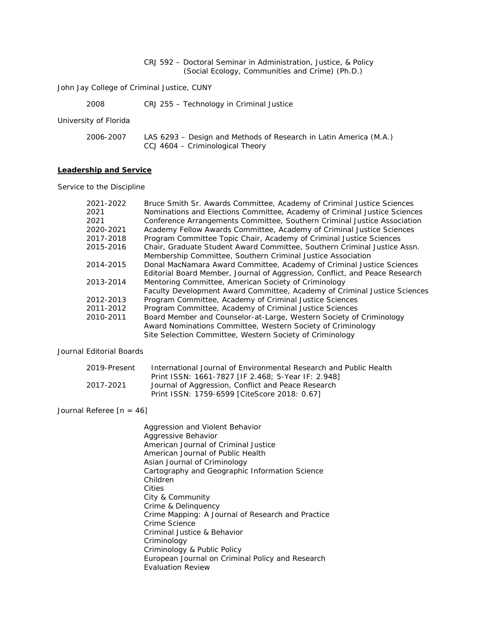### CRJ 592 – Doctoral Seminar in Administration, Justice, & Policy (Social Ecology, Communities and Crime) (Ph.D.)

*John Jay College of Criminal Justice, CUNY* 

| 2008 | CRJ 255 - Technology in Criminal Justice |
|------|------------------------------------------|
|------|------------------------------------------|

*University of Florida* 

| 2006-2007 | LAS 6293 – Design and Methods of Research in Latin America (M.A.) |
|-----------|-------------------------------------------------------------------|
|           | CCJ 4604 – Criminological Theory                                  |

#### **Leadership and Service**

*Service to the Discipline* 

| 2021-2022<br>2021 | Bruce Smith Sr. Awards Committee, Academy of Criminal Justice Sciences<br>Nominations and Elections Committee, Academy of Criminal Justice Sciences |
|-------------------|-----------------------------------------------------------------------------------------------------------------------------------------------------|
| 2021              | Conference Arrangements Committee, Southern Criminal Justice Association                                                                            |
| 2020-2021         | Academy Fellow Awards Committee, Academy of Criminal Justice Sciences                                                                               |
| 2017-2018         | Program Committee Topic Chair, Academy of Criminal Justice Sciences                                                                                 |
| 2015-2016         | Chair, Graduate Student Award Committee, Southern Criminal Justice Assn.                                                                            |
|                   | Membership Committee, Southern Criminal Justice Association                                                                                         |
| 2014-2015         | Donal MacNamara Award Committee, Academy of Criminal Justice Sciences                                                                               |
|                   | Editorial Board Member, Journal of Aggression, Conflict, and Peace Research                                                                         |
| 2013-2014         | Mentoring Committee, American Society of Criminology                                                                                                |
|                   | Faculty Development Award Committee, Academy of Criminal Justice Sciences                                                                           |
| 2012-2013         | Program Committee, Academy of Criminal Justice Sciences                                                                                             |
| 2011-2012         | Program Committee, Academy of Criminal Justice Sciences                                                                                             |
| 2010-2011         | Board Member and Counselor-at-Large, Western Society of Criminology                                                                                 |
|                   | Award Nominations Committee, Western Society of Criminology                                                                                         |
|                   | Site Selection Committee, Western Society of Criminology                                                                                            |

#### *Journal Editorial Boards*

| 2019-Present | International Journal of Environmental Research and Public Health |
|--------------|-------------------------------------------------------------------|
|              | Print ISSN: 1661-7827 [IF 2.468; 5-Year IF: 2.948]                |
| 2017-2021    | Journal of Aggression, Conflict and Peace Research                |
|              | Print ISSN: 1759-6599 [CiteScore 2018: 0.67]                      |

### *Journal Referee* [n = 46]

*Aggression and Violent Behavior Aggressive Behavior American Journal of Criminal Justice American Journal of Public Health Asian Journal of Criminology Cartography and Geographic Information Science Children Cities City & Community Crime & Delinquency Crime Mapping: A Journal of Research and Practice Crime Science Criminal Justice & Behavior Criminology Criminology & Public Policy European Journal on Criminal Policy and Research Evaluation Review*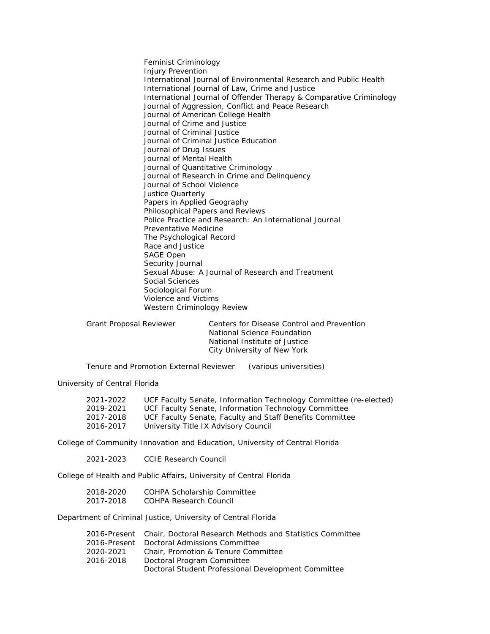*Feminist Criminology Injury Prevention International Journal of Environmental Research and Public Health International Journal of Law, Crime and Justice International Journal of Offender Therapy & Comparative Criminology Journal of Aggression, Conflict and Peace Research Journal of American College Health Journal of Crime and Justice Journal of Criminal Justice Journal of Criminal Justice Education Journal of Drug Issues Journal of Mental Health Journal of Quantitative Criminology Journal of Research in Crime and Delinquency Journal of School Violence Justice Quarterly Papers in Applied Geography Philosophical Papers and Reviews Police Practice and Research: An International Journal Preventative Medicine The Psychological Record Race and Justice SAGE Open Security Journal Sexual Abuse: A Journal of Research and Treatment Social Sciences Sociological Forum Violence and Victims Western Criminology Review* 

Grant Proposal Reviewer Centers for Disease Control and Prevention National Science Foundation National Institute of Justice City University of New York

Tenure and Promotion External Reviewer (various universities)

*University of Central Florida* 

| 2021-2022 | UCF Faculty Senate, Information Technology Committee (re-elected) |
|-----------|-------------------------------------------------------------------|
| 2019-2021 | UCF Faculty Senate, Information Technology Committee              |
| 2017-2018 | UCF Faculty Senate, Faculty and Staff Benefits Committee          |
| 2016-2017 | University Title IX Advisory Council                              |

*College of Community Innovation and Education, University of Central Florida* 

2021-2023 CCIE Research Council

*College of Health and Public Affairs, University of Central Florida* 

| 2018-2020 | COHPA Scholarship Committee |
|-----------|-----------------------------|
| 2017-2018 | COHPA Research Council      |

*Department of Criminal Justice, University of Central Florida* 

|           | 2016-Present Chair, Doctoral Research Methods and Statistics Committee |
|-----------|------------------------------------------------------------------------|
|           | 2016-Present Doctoral Admissions Committee                             |
| 2020-2021 | Chair, Promotion & Tenure Committee                                    |
| 2016-2018 | Doctoral Program Committee                                             |
|           | Doctoral Student Professional Development Committee                    |